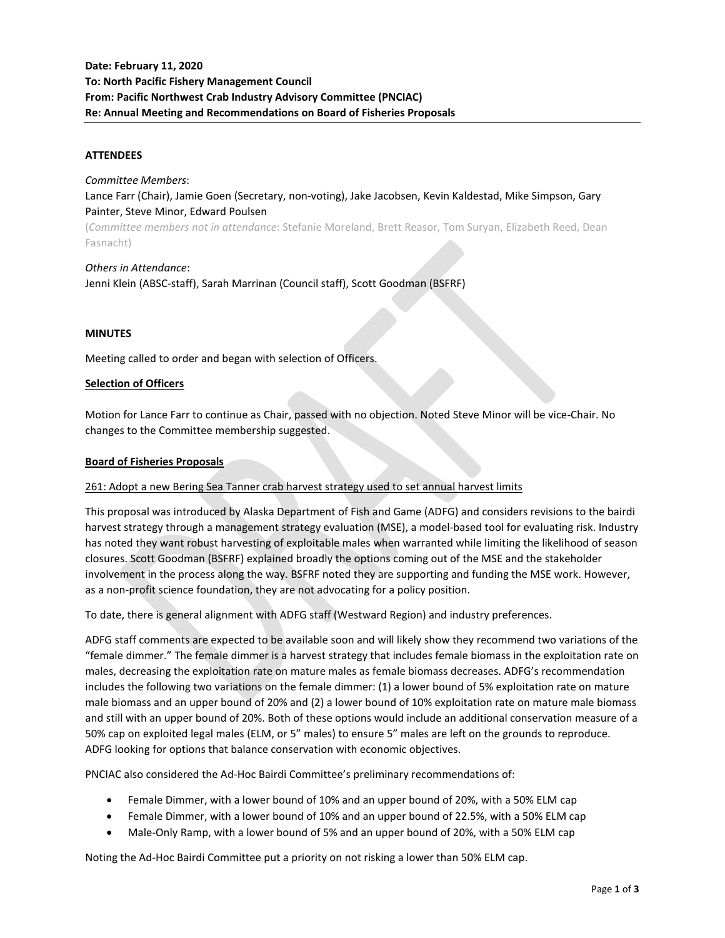### **ATTENDEES**

*Committee Members*:

Lance Farr (Chair), Jamie Goen (Secretary, non-voting), Jake Jacobsen, Kevin Kaldestad, Mike Simpson, Gary Painter, Steve Minor, Edward Poulsen

(*Committee members not in attendance*: Stefanie Moreland, Brett Reasor, Tom Suryan, Elizabeth Reed, Dean Fasnacht)

*Others in Attendance*: Jenni Klein (ABSC-staff), Sarah Marrinan (Council staff), Scott Goodman (BSFRF)

### **MINUTES**

Meeting called to order and began with selection of Officers.

#### **Selection of Officers**

Motion for Lance Farr to continue as Chair, passed with no objection. Noted Steve Minor will be vice-Chair. No changes to the Committee membership suggested.

#### **Board of Fisheries Proposals**

### 261: Adopt a new Bering Sea Tanner crab harvest strategy used to set annual harvest limits

This proposal was introduced by Alaska Department of Fish and Game (ADFG) and considers revisions to the bairdi harvest strategy through a management strategy evaluation (MSE), a model-based tool for evaluating risk. Industry has noted they want robust harvesting of exploitable males when warranted while limiting the likelihood of season closures. Scott Goodman (BSFRF) explained broadly the options coming out of the MSE and the stakeholder involvement in the process along the way. BSFRF noted they are supporting and funding the MSE work. However, as a non-profit science foundation, they are not advocating for a policy position.

To date, there is general alignment with ADFG staff (Westward Region) and industry preferences.

ADFG staff comments are expected to be available soon and will likely show they recommend two variations of the "female dimmer." The female dimmer is a harvest strategy that includes female biomass in the exploitation rate on males, decreasing the exploitation rate on mature males as female biomass decreases. ADFG's recommendation includes the following two variations on the female dimmer: (1) a lower bound of 5% exploitation rate on mature male biomass and an upper bound of 20% and (2) a lower bound of 10% exploitation rate on mature male biomass and still with an upper bound of 20%. Both of these options would include an additional conservation measure of a 50% cap on exploited legal males (ELM, or 5" males) to ensure 5" males are left on the grounds to reproduce. ADFG looking for options that balance conservation with economic objectives.

PNCIAC also considered the Ad-Hoc Bairdi Committee's preliminary recommendations of:

- Female Dimmer, with a lower bound of 10% and an upper bound of 20%, with a 50% ELM cap
- Female Dimmer, with a lower bound of 10% and an upper bound of 22.5%, with a 50% ELM cap
- Male-Only Ramp, with a lower bound of 5% and an upper bound of 20%, with a 50% ELM cap

Noting the Ad-Hoc Bairdi Committee put a priority on not risking a lower than 50% ELM cap.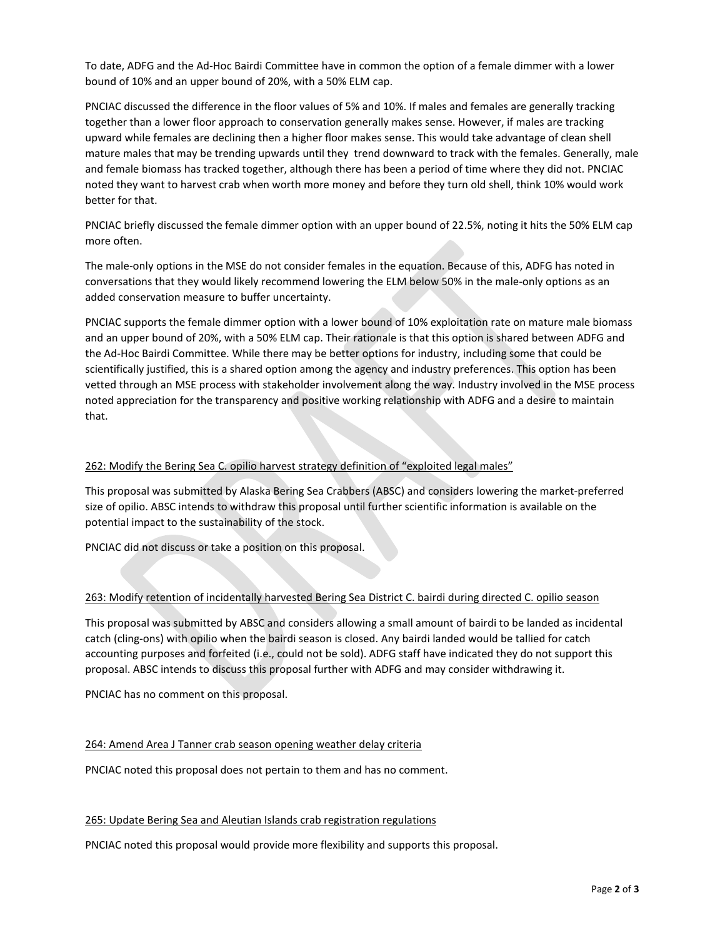To date, ADFG and the Ad-Hoc Bairdi Committee have in common the option of a female dimmer with a lower bound of 10% and an upper bound of 20%, with a 50% ELM cap.

PNCIAC discussed the difference in the floor values of 5% and 10%. If males and females are generally tracking together than a lower floor approach to conservation generally makes sense. However, if males are tracking upward while females are declining then a higher floor makes sense. This would take advantage of clean shell mature males that may be trending upwards until they trend downward to track with the females. Generally, male and female biomass has tracked together, although there has been a period of time where they did not. PNCIAC noted they want to harvest crab when worth more money and before they turn old shell, think 10% would work better for that.

PNCIAC briefly discussed the female dimmer option with an upper bound of 22.5%, noting it hits the 50% ELM cap more often.

The male-only options in the MSE do not consider females in the equation. Because of this, ADFG has noted in conversations that they would likely recommend lowering the ELM below 50% in the male-only options as an added conservation measure to buffer uncertainty.

PNCIAC supports the female dimmer option with a lower bound of 10% exploitation rate on mature male biomass and an upper bound of 20%, with a 50% ELM cap. Their rationale is that this option is shared between ADFG and the Ad-Hoc Bairdi Committee. While there may be better options for industry, including some that could be scientifically justified, this is a shared option among the agency and industry preferences. This option has been vetted through an MSE process with stakeholder involvement along the way. Industry involved in the MSE process noted appreciation for the transparency and positive working relationship with ADFG and a desire to maintain that.

### 262: Modify the Bering Sea C. opilio harvest strategy definition of "exploited legal males"

This proposal was submitted by Alaska Bering Sea Crabbers (ABSC) and considers lowering the market-preferred size of opilio. ABSC intends to withdraw this proposal until further scientific information is available on the potential impact to the sustainability of the stock.

PNCIAC did not discuss or take a position on this proposal.

# 263: Modify retention of incidentally harvested Bering Sea District C. bairdi during directed C. opilio season

This proposal was submitted by ABSC and considers allowing a small amount of bairdi to be landed as incidental catch (cling-ons) with opilio when the bairdi season is closed. Any bairdi landed would be tallied for catch accounting purposes and forfeited (i.e., could not be sold). ADFG staff have indicated they do not support this proposal. ABSC intends to discuss this proposal further with ADFG and may consider withdrawing it.

PNCIAC has no comment on this proposal.

### 264: Amend Area J Tanner crab season opening weather delay criteria

PNCIAC noted this proposal does not pertain to them and has no comment.

### 265: Update Bering Sea and Aleutian Islands crab registration regulations

PNCIAC noted this proposal would provide more flexibility and supports this proposal.